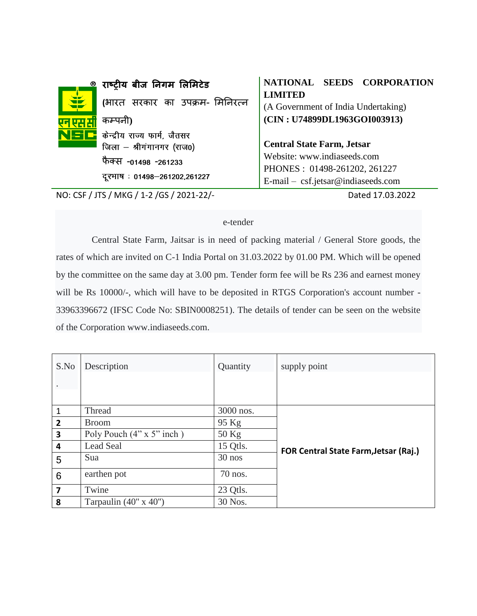| राष्ट्रीय बीज निगम लिमिटेड<br>®                                             | NATIONAL SEEDS CORPORATION                                                                        |
|-----------------------------------------------------------------------------|---------------------------------------------------------------------------------------------------|
| 宝<br>(भारत सरकार का उपक्रम- मिनिरत्न                                        | <b>LIMITED</b><br>(A Government of India Undertaking)                                             |
| कम्पनी)<br>NSC<br>केन्द्रीय राज्य फार्म, जैतसर<br>जिला - श्रीगंगानगर (राज0) | (CIN: U74899DL1963GOI003913)<br><b>Central State Farm, Jetsar</b>                                 |
| फैक्स -01498 -261233<br>दूरभाष: 01498-261202,261227                         | Website: www.indiaseeds.com<br>PHONES: 01498-261202, 261227<br>E-mail - csf.jetsar@indiaseeds.com |
|                                                                             |                                                                                                   |

NO: CSF / JTS / MKG / 1-2 /GS / 2021-22/- Dated 17.03.2022

## e-tender

Central State Farm, Jaitsar is in need of packing material / General Store goods, the rates of which are invited on C-1 India Portal on 31.03.2022 by 01.00 PM. Which will be opened by the committee on the same day at 3.00 pm. Tender form fee will be Rs 236 and earnest money will be Rs 10000/-, which will have to be deposited in RTGS Corporation's account number - 33963396672 (IFSC Code No: SBIN0008251). The details of tender can be seen on the website of the Corporation www.indiaseeds.com.

| S.No                    | Description                      | Quantity  | supply point                          |
|-------------------------|----------------------------------|-----------|---------------------------------------|
|                         |                                  |           |                                       |
|                         |                                  |           |                                       |
| $\mathbf{1}$            | Thread                           | 3000 nos. |                                       |
| $\overline{2}$          | <b>Broom</b>                     | 95 Kg     |                                       |
| $\overline{\mathbf{3}}$ | Poly Pouch $(4" \times 5"$ inch) | 50 Kg     |                                       |
| $\overline{\mathbf{4}}$ | Lead Seal                        | 15 Qtls.  | FOR Central State Farm, Jetsar (Raj.) |
| 5                       | Sua                              | 30 nos    |                                       |
| 6                       | earthen pot                      | 70 nos.   |                                       |
| $\overline{7}$          | Twine                            | 23 Qtls.  |                                       |
| 8                       | Tarpaulin $(40'' \times 40'')$   | 30 Nos.   |                                       |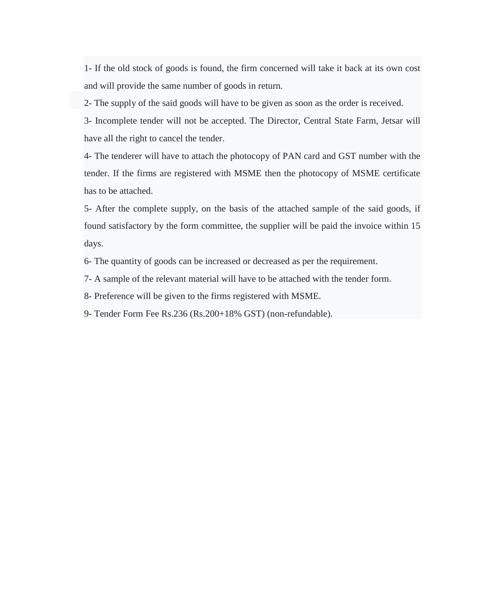1- If the old stock of goods is found, the firm concerned will take it back at its own cost and will provide the same number of goods in return.

2- The supply of the said goods will have to be given as soon as the order is received.

3- Incomplete tender will not be accepted. The Director, Central State Farm, Jetsar will have all the right to cancel the tender.

4- The tenderer will have to attach the photocopy of PAN card and GST number with the tender. If the firms are registered with MSME then the photocopy of MSME certificate has to be attached.

5- After the complete supply, on the basis of the attached sample of the said goods, if found satisfactory by the form committee, the supplier will be paid the invoice within 15 days.

6- The quantity of goods can be increased or decreased as per the requirement.

7- A sample of the relevant material will have to be attached with the tender form.

8- Preference will be given to the firms registered with MSME.

9- Tender Form Fee Rs.236 (Rs.200+18% GST) (non-refundable).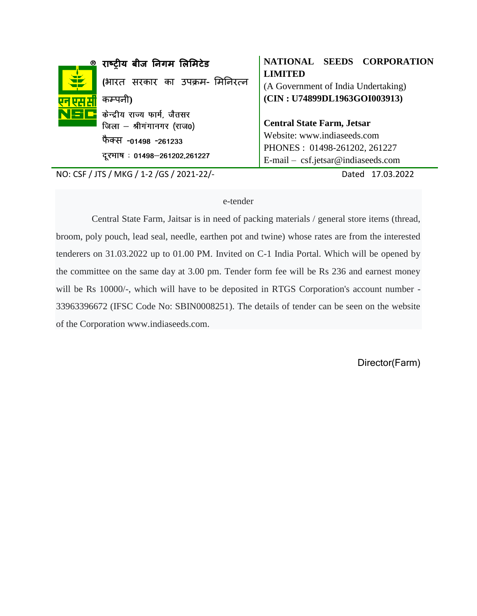|   | राष्ट्रीय बीज निगम लिमिटेड                                                                                                       | NATIONAL SEEDS CORPORATION                                                                                                             |
|---|----------------------------------------------------------------------------------------------------------------------------------|----------------------------------------------------------------------------------------------------------------------------------------|
| 宝 | (भारत सरकार का उपक्रम- मिनिरत्न<br>कम्पनी)                                                                                       | <b>LIMITED</b><br>(A Government of India Undertaking)<br>(CIN: U74899DL1963GOI003913)                                                  |
|   | $\sum$ $\Gamma$ केन्द्रीय राज्य फार्म, जैतसर<br>जिला - श्रीगंगानगर (राज0)<br>फैक्स -01498 -261233<br>दूरभाष: 01498–261202,261227 | <b>Central State Farm, Jetsar</b><br>Website: www.indiaseeds.com<br>PHONES: 01498-261202, 261227<br>E-mail - csf.jetsar@indiaseeds.com |

NO: CSF / JTS / MKG / 1-2 /GS / 2021-22/- Dated 17.03.2022

## e-tender

Central State Farm, Jaitsar is in need of packing materials / general store items (thread, broom, poly pouch, lead seal, needle, earthen pot and twine) whose rates are from the interested tenderers on 31.03.2022 up to 01.00 PM. Invited on C-1 India Portal. Which will be opened by the committee on the same day at 3.00 pm. Tender form fee will be Rs 236 and earnest money will be Rs 10000/-, which will have to be deposited in RTGS Corporation's account number - 33963396672 (IFSC Code No: SBIN0008251). The details of tender can be seen on the website of the Corporation www.indiaseeds.com.

Director(Farm)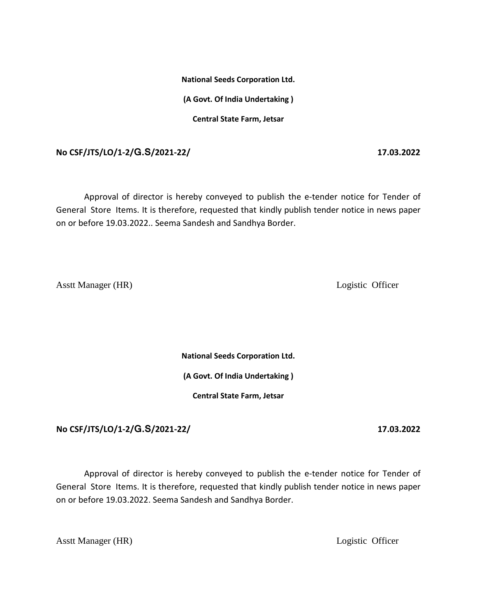**National Seeds Corporation Ltd. (A Govt. Of India Undertaking ) Central State Farm, Jetsar**

**No CSF/JTS/LO/1-2/G.S/2021-22/ 17.03.2022**

Approval of director is hereby conveyed to publish the e-tender notice for Tender of General Store Items. It is therefore, requested that kindly publish tender notice in news paper on or before 19.03.2022.. Seema Sandesh and Sandhya Border.

Asstt Manager (HR) Logistic Officer

**National Seeds Corporation Ltd.**

**(A Govt. Of India Undertaking )**

**Central State Farm, Jetsar**

**No CSF/JTS/LO/1-2/G.S/2021-22/ 17.03.2022**

Approval of director is hereby conveyed to publish the e-tender notice for Tender of General Store Items. It is therefore, requested that kindly publish tender notice in news paper on or before 19.03.2022. Seema Sandesh and Sandhya Border.

Asstt Manager (HR) Logistic Officer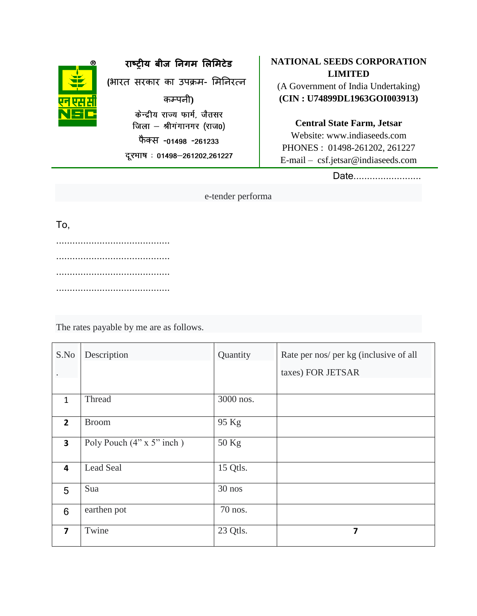

**राष्ट्रीय बीज निगम लऱलमटेड**

**(**भारत सरकार का उपक्रम- ममनिरत्ि

कम्पिी**)** केन्द्रीय राज्य फार्म, जैतसर जिला - श्रीगंगानगर (राज0) फैक्स -01498 -261233

दूरभाष: 01498-261202,261227

## **NATIONAL SEEDS CORPORATION LIMITED**

(A Government of India Undertaking) **(CIN : U74899DL1963GOI003913)**

**Central State Farm, Jetsar** Website: www.indiaseeds.com PHONES : 01498-261202, 261227

E-mail – csf.jetsar@indiaseeds.com

Date.........................

e-tender performa

To,

.......................................... .......................................... .......................................... ..........................................

The rates payable by me are as follows.

| S.No                    | Description                      | Quantity  | Rate per nos/ per kg (inclusive of all |
|-------------------------|----------------------------------|-----------|----------------------------------------|
|                         |                                  |           | taxes) FOR JETSAR                      |
|                         |                                  |           |                                        |
| $\mathbf{1}$            | Thread                           | 3000 nos. |                                        |
| $\overline{2}$          | <b>Broom</b>                     | 95 Kg     |                                        |
| $\overline{\mathbf{3}}$ | Poly Pouch $(4" \times 5"$ inch) | 50 Kg     |                                        |
| $\overline{\mathbf{4}}$ | Lead Seal                        | 15 Qtls.  |                                        |
| 5                       | Sua                              | 30 nos    |                                        |
| 6                       | earthen pot                      | 70 nos.   |                                        |
| $\overline{\mathbf{z}}$ | Twine                            | 23 Qtls.  | 7                                      |